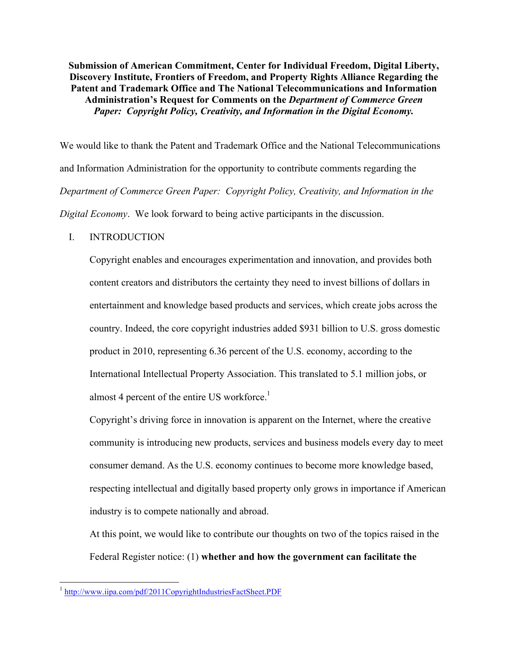**Submission of American Commitment, Center for Individual Freedom, Digital Liberty, Discovery Institute, Frontiers of Freedom, and Property Rights Alliance Regarding the Patent and Trademark Office and The National Telecommunications and Information Administration's Request for Comments on the** *Department of Commerce Green Paper: Copyright Policy, Creativity, and Information in the Digital Economy.*

We would like to thank the Patent and Trademark Office and the National Telecommunications and Information Administration for the opportunity to contribute comments regarding the *Department of Commerce Green Paper: Copyright Policy, Creativity, and Information in the Digital Economy*. We look forward to being active participants in the discussion.

## I. INTRODUCTION

Copyright enables and encourages experimentation and innovation, and provides both content creators and distributors the certainty they need to invest billions of dollars in entertainment and knowledge based products and services, which create jobs across the country. Indeed, the core copyright industries added \$931 billion to U.S. gross domestic product in 2010, representing 6.36 percent of the U.S. economy, according to the International Intellectual Property Association. This translated to 5.1 million jobs, or almost 4 percent of the entire US workforce.<sup>1</sup>

Copyright's driving force in innovation is apparent on the Internet, where the creative community is introducing new products, services and business models every day to meet consumer demand. As the U.S. economy continues to become more knowledge based, respecting intellectual and digitally based property only grows in importance if American industry is to compete nationally and abroad.

At this point, we would like to contribute our thoughts on two of the topics raised in the Federal Register notice: (1) **whether and how the government can facilitate the** 

<sup>&</sup>lt;sup>1</sup> http://www.iipa.com/pdf/2011CopyrightIndustriesFactSheet.PDF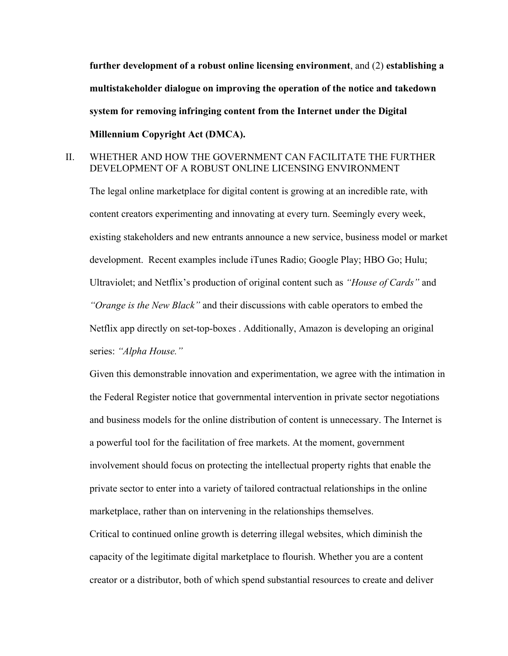**further development of a robust online licensing environment**, and (2) **establishing a multistakeholder dialogue on improving the operation of the notice and takedown system for removing infringing content from the Internet under the Digital Millennium Copyright Act (DMCA).**

## II. WHETHER AND HOW THE GOVERNMENT CAN FACILITATE THE FURTHER DEVELOPMENT OF A ROBUST ONLINE LICENSING ENVIRONMENT

The legal online marketplace for digital content is growing at an incredible rate, with content creators experimenting and innovating at every turn. Seemingly every week, existing stakeholders and new entrants announce a new service, business model or market development. Recent examples include iTunes Radio; Google Play; HBO Go; Hulu; Ultraviolet; and Netflix's production of original content such as *"House of Cards"* and *"Orange is the New Black"* and their discussions with cable operators to embed the Netflix app directly on set-top-boxes . Additionally, Amazon is developing an original series: *"Alpha House."*

Given this demonstrable innovation and experimentation, we agree with the intimation in the Federal Register notice that governmental intervention in private sector negotiations and business models for the online distribution of content is unnecessary. The Internet is a powerful tool for the facilitation of free markets. At the moment, government involvement should focus on protecting the intellectual property rights that enable the private sector to enter into a variety of tailored contractual relationships in the online marketplace, rather than on intervening in the relationships themselves.

Critical to continued online growth is deterring illegal websites, which diminish the capacity of the legitimate digital marketplace to flourish. Whether you are a content creator or a distributor, both of which spend substantial resources to create and deliver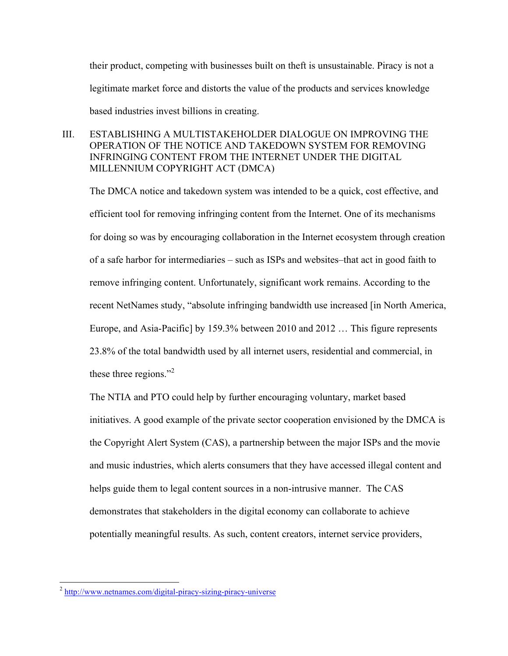their product, competing with businesses built on theft is unsustainable. Piracy is not a legitimate market force and distorts the value of the products and services knowledge based industries invest billions in creating.

## III. ESTABLISHING A MULTISTAKEHOLDER DIALOGUE ON IMPROVING THE OPERATION OF THE NOTICE AND TAKEDOWN SYSTEM FOR REMOVING INFRINGING CONTENT FROM THE INTERNET UNDER THE DIGITAL MILLENNIUM COPYRIGHT ACT (DMCA)

The DMCA notice and takedown system was intended to be a quick, cost effective, and efficient tool for removing infringing content from the Internet. One of its mechanisms for doing so was by encouraging collaboration in the Internet ecosystem through creation of a safe harbor for intermediaries – such as ISPs and websites–that act in good faith to remove infringing content. Unfortunately, significant work remains. According to the recent NetNames study, "absolute infringing bandwidth use increased [in North America, Europe, and Asia-Pacific] by 159.3% between 2010 and 2012 … This figure represents 23.8% of the total bandwidth used by all internet users, residential and commercial, in these three regions."<sup>2</sup>

The NTIA and PTO could help by further encouraging voluntary, market based initiatives. A good example of the private sector cooperation envisioned by the DMCA is the Copyright Alert System (CAS), a partnership between the major ISPs and the movie and music industries, which alerts consumers that they have accessed illegal content and helps guide them to legal content sources in a non-intrusive manner. The CAS demonstrates that stakeholders in the digital economy can collaborate to achieve potentially meaningful results. As such, content creators, internet service providers,

<sup>&</sup>lt;sup>2</sup> http://www.netnames.com/digital-piracy-sizing-piracy-universe